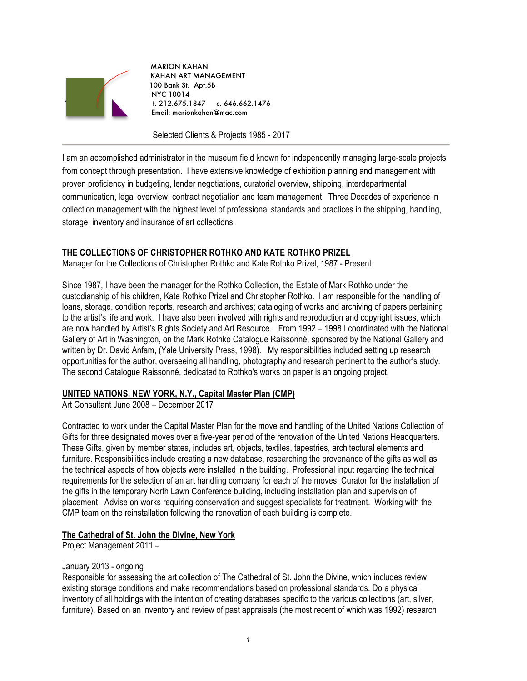

 MARION KAHAN KAHAN ART MANAGEMENT 100 Bank St. Apt.5B NYC 10014 `` t. 212.675.1847 c. 646.662.1476 Email: marionkahan@mac.com

Selected Clients & Projects 1985 - 2017

I am an accomplished administrator in the museum field known for independently managing large-scale projects from concept through presentation. I have extensive knowledge of exhibition planning and management with proven proficiency in budgeting, lender negotiations, curatorial overview, shipping, interdepartmental communication, legal overview, contract negotiation and team management. Three Decades of experience in collection management with the highest level of professional standards and practices in the shipping, handling, storage, inventory and insurance of art collections.

# **THE COLLECTIONS OF CHRISTOPHER ROTHKO AND KATE ROTHKO PRIZEL**

Manager for the Collections of Christopher Rothko and Kate Rothko Prizel, 1987 - Present

Since 1987, I have been the manager for the Rothko Collection, the Estate of Mark Rothko under the custodianship of his children, Kate Rothko Prizel and Christopher Rothko. I am responsible for the handling of loans, storage, condition reports, research and archives; cataloging of works and archiving of papers pertaining to the artist's life and work. I have also been involved with rights and reproduction and copyright issues, which are now handled by Artist's Rights Society and Art Resource. From 1992 – 1998 I coordinated with the National Gallery of Art in Washington, on the Mark Rothko Catalogue Raissonné, sponsored by the National Gallery and written by Dr. David Anfam, (Yale University Press, 1998). My responsibilities included setting up research opportunities for the author, overseeing all handling, photography and research pertinent to the author's study. The second Catalogue Raissonné, dedicated to Rothko's works on paper is an ongoing project.

# **UNITED NATIONS, NEW YORK, N.Y., Capital Master Plan (CMP)**

Art Consultant June 2008 – December 2017

Contracted to work under the Capital Master Plan for the move and handling of the United Nations Collection of Gifts for three designated moves over a five-year period of the renovation of the United Nations Headquarters. These Gifts, given by member states, includes art, objects, textiles, tapestries, architectural elements and furniture. Responsibilities include creating a new database, researching the provenance of the gifts as well as the technical aspects of how objects were installed in the building. Professional input regarding the technical requirements for the selection of an art handling company for each of the moves. Curator for the installation of the gifts in the temporary North Lawn Conference building, including installation plan and supervision of placement. Advise on works requiring conservation and suggest specialists for treatment. Working with the CMP team on the reinstallation following the renovation of each building is complete.

# **The Cathedral of St. John the Divine, New York**

Project Management 2011 –

## January 2013 - ongoing

Responsible for assessing the art collection of The Cathedral of St. John the Divine, which includes review existing storage conditions and make recommendations based on professional standards. Do a physical inventory of all holdings with the intention of creating databases specific to the various collections (art, silver, furniture). Based on an inventory and review of past appraisals (the most recent of which was 1992) research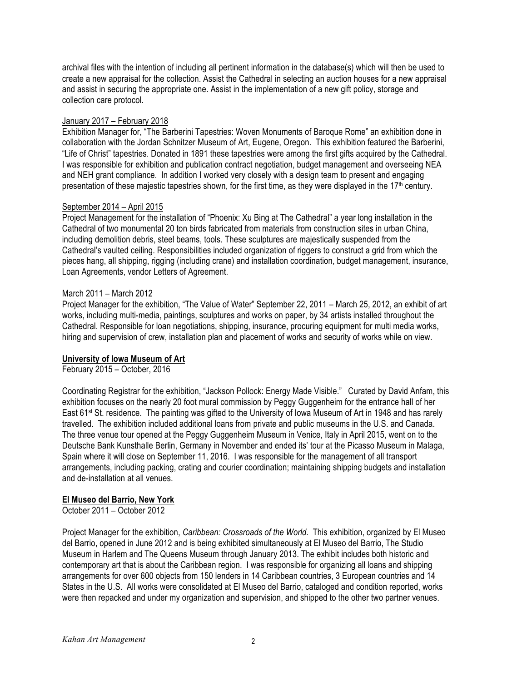archival files with the intention of including all pertinent information in the database(s) which will then be used to create a new appraisal for the collection. Assist the Cathedral in selecting an auction houses for a new appraisal and assist in securing the appropriate one. Assist in the implementation of a new gift policy, storage and collection care protocol.

## January 2017 – February 2018

Exhibition Manager for, "The Barberini Tapestries: Woven Monuments of Baroque Rome" an exhibition done in collaboration with the Jordan Schnitzer Museum of Art, Eugene, Oregon. This exhibition featured the Barberini, "Life of Christ" tapestries. Donated in 1891 these tapestries were among the first gifts acquired by the Cathedral. I was responsible for exhibition and publication contract negotiation, budget management and overseeing NEA and NEH grant compliance. In addition I worked very closely with a design team to present and engaging presentation of these majestic tapestries shown, for the first time, as they were displayed in the 17<sup>th</sup> century.

## September 2014 – April 2015

Project Management for the installation of "Phoenix: Xu Bing at The Cathedral" a year long installation in the Cathedral of two monumental 20 ton birds fabricated from materials from construction sites in urban China, including demolition debris, steel beams, tools. These sculptures are majestically suspended from the Cathedral's vaulted ceiling. Responsibilities included organization of riggers to construct a grid from which the pieces hang, all shipping, rigging (including crane) and installation coordination, budget management, insurance, Loan Agreements, vendor Letters of Agreement.

# March 2011 – March 2012

Project Manager for the exhibition, "The Value of Water" September 22, 2011 – March 25, 2012, an exhibit of art works, including multi-media, paintings, sculptures and works on paper, by 34 artists installed throughout the Cathedral. Responsible for loan negotiations, shipping, insurance, procuring equipment for multi media works, hiring and supervision of crew, installation plan and placement of works and security of works while on view.

# **University of Iowa Museum of Art**

February 2015 – October, 2016

Coordinating Registrar for the exhibition, "Jackson Pollock: Energy Made Visible." Curated by David Anfam, this exhibition focuses on the nearly 20 foot mural commission by Peggy Guggenheim for the entrance hall of her East 61st St. residence. The painting was gifted to the University of Iowa Museum of Art in 1948 and has rarely travelled. The exhibition included additional loans from private and public museums in the U.S. and Canada. The three venue tour opened at the Peggy Guggenheim Museum in Venice, Italy in April 2015, went on to the Deutsche Bank Kunsthalle Berlin, Germany in November and ended its' tour at the Picasso Museum in Malaga, Spain where it will close on September 11, 2016. I was responsible for the management of all transport arrangements, including packing, crating and courier coordination; maintaining shipping budgets and installation and de-installation at all venues.

# **El Museo del Barrio, New York**

October 2011 – October 2012

Project Manager for the exhibition, *Caribbean: Crossroads of the World*. This exhibition, organized by El Museo del Barrio, opened in June 2012 and is being exhibited simultaneously at El Museo del Barrio, The Studio Museum in Harlem and The Queens Museum through January 2013. The exhibit includes both historic and contemporary art that is about the Caribbean region. I was responsible for organizing all loans and shipping arrangements for over 600 objects from 150 lenders in 14 Caribbean countries, 3 European countries and 14 States in the U.S. All works were consolidated at El Museo del Barrio, cataloged and condition reported, works were then repacked and under my organization and supervision, and shipped to the other two partner venues.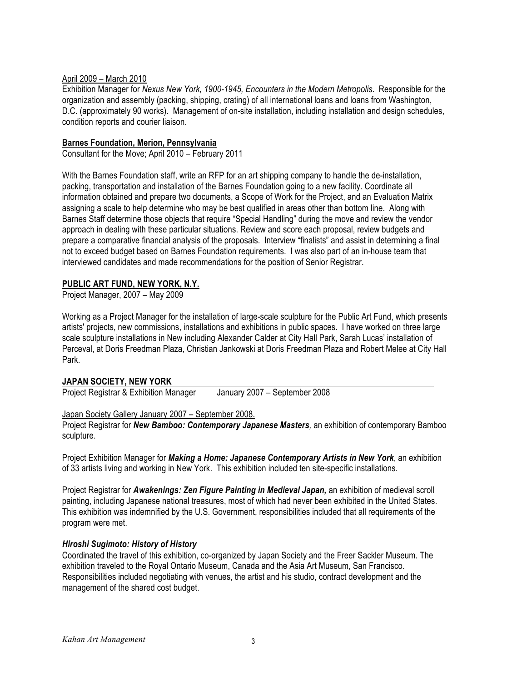## April 2009 – March 2010

Exhibition Manager for *Nexus New York, 1900-1945, Encounters in the Modern Metropolis*. Responsible for the organization and assembly (packing, shipping, crating) of all international loans and loans from Washington, D.C. (approximately 90 works). Management of on-site installation, including installation and design schedules, condition reports and courier liaison.

#### **Barnes Foundation, Merion, Pennsylvania**

Consultant for the Move; April 2010 – February 2011

With the Barnes Foundation staff, write an RFP for an art shipping company to handle the de-installation, packing, transportation and installation of the Barnes Foundation going to a new facility. Coordinate all information obtained and prepare two documents, a Scope of Work for the Project, and an Evaluation Matrix assigning a scale to help determine who may be best qualified in areas other than bottom line. Along with Barnes Staff determine those objects that require "Special Handling" during the move and review the vendor approach in dealing with these particular situations. Review and score each proposal, review budgets and prepare a comparative financial analysis of the proposals. Interview "finalists" and assist in determining a final not to exceed budget based on Barnes Foundation requirements. I was also part of an in-house team that interviewed candidates and made recommendations for the position of Senior Registrar.

## **PUBLIC ART FUND, NEW YORK, N.Y.**

Project Manager, 2007 – May 2009

Working as a Project Manager for the installation of large-scale sculpture for the Public Art Fund, which presents artists' projects, new commissions, installations and exhibitions in public spaces. I have worked on three large scale sculpture installations in New including Alexander Calder at City Hall Park, Sarah Lucas' installation of Perceval, at Doris Freedman Plaza, Christian Jankowski at Doris Freedman Plaza and Robert Melee at City Hall Park.

## **JAPAN SOCIETY, NEW YORK**

Project Registrar & Exhibition Manager January 2007 – September 2008

Japan Society Gallery January 2007 – September 2008.

Project Registrar for *New Bamboo: Contemporary Japanese Masters,* an exhibition of contemporary Bamboo sculpture.

Project Exhibition Manager for *Making a Home: Japanese Contemporary Artists in New York*, an exhibition of 33 artists living and working in New York. This exhibition included ten site-specific installations.

Project Registrar for *Awakenings: Zen Figure Painting in Medieval Japan,* an exhibition of medieval scroll painting, including Japanese national treasures, most of which had never been exhibited in the United States. This exhibition was indemnified by the U.S. Government, responsibilities included that all requirements of the program were met.

## *Hiroshi Sugimoto: History of History*

Coordinated the travel of this exhibition, co-organized by Japan Society and the Freer Sackler Museum. The exhibition traveled to the Royal Ontario Museum, Canada and the Asia Art Museum, San Francisco. Responsibilities included negotiating with venues, the artist and his studio, contract development and the management of the shared cost budget.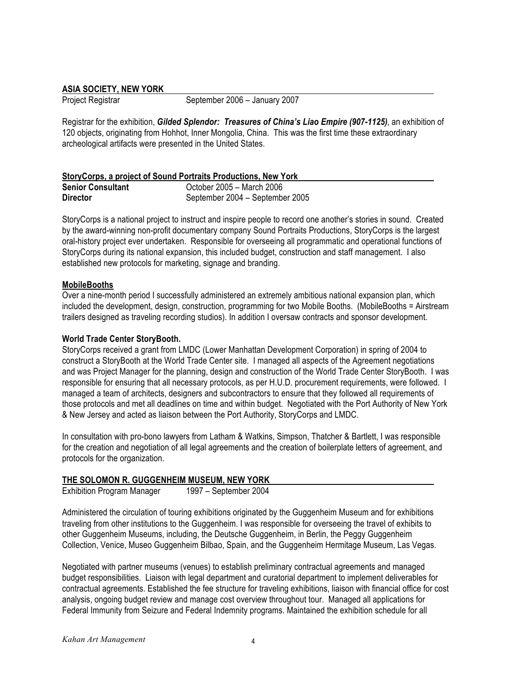#### **ASIA SOCIETY, NEW YORK**

Project Registrar September 2006 – January 2007

Registrar for the exhibition, *Gilded Splendor: Treasures of China's Liao Empire (907-1125)*, an exhibition of 120 objects, originating from Hohhot, Inner Mongolia, China. This was the first time these extraordinary archeological artifacts were presented in the United States.

# **StoryCorps, a project of Sound Portraits Productions, New York**

| <b>Senior Consultant</b> | October 2005 – March 2006       |
|--------------------------|---------------------------------|
| <b>Director</b>          | September 2004 - September 2005 |

StoryCorps is a national project to instruct and inspire people to record one another's stories in sound. Created by the award-winning non-profit documentary company Sound Portraits Productions, StoryCorps is the largest oral-history project ever undertaken. Responsible for overseeing all programmatic and operational functions of StoryCorps during its national expansion, this included budget, construction and staff management. I also established new protocols for marketing, signage and branding.

## **MobileBooths**

Over a nine-month period I successfully administered an extremely ambitious national expansion plan, which included the development, design, construction, programming for two Mobile Booths. (MobileBooths = Airstream trailers designed as traveling recording studios). In addition I oversaw contracts and sponsor development.

#### **World Trade Center StoryBooth.**

StoryCorps received a grant from LMDC (Lower Manhattan Development Corporation) in spring of 2004 to construct a StoryBooth at the World Trade Center site. I managed all aspects of the Agreement negotiations and was Project Manager for the planning, design and construction of the World Trade Center StoryBooth. I was responsible for ensuring that all necessary protocols, as per H.U.D. procurement requirements, were followed. I managed a team of architects, designers and subcontractors to ensure that they followed all requirements of those protocols and met all deadlines on time and within budget. Negotiated with the Port Authority of New York & New Jersey and acted as liaison between the Port Authority, StoryCorps and LMDC.

In consultation with pro-bono lawyers from Latham & Watkins, Simpson, Thatcher & Bartlett, I was responsible for the creation and negotiation of all legal agreements and the creation of boilerplate letters of agreement, and protocols for the organization.

## **THE SOLOMON R. GUGGENHEIM MUSEUM, NEW YORK**

Exhibition Program Manager 1997 – September 2004

Administered the circulation of touring exhibitions originated by the Guggenheim Museum and for exhibitions traveling from other institutions to the Guggenheim. I was responsible for overseeing the travel of exhibits to other Guggenheim Museums, including, the Deutsche Guggenheim, in Berlin, the Peggy Guggenheim Collection, Venice, Museo Guggenheim Bilbao, Spain, and the Guggenheim Hermitage Museum, Las Vegas.

Negotiated with partner museums (venues) to establish preliminary contractual agreements and managed budget responsibilities. Liaison with legal department and curatorial department to implement deliverables for contractual agreements. Established the fee structure for traveling exhibitions, liaison with financial office for cost analysis, ongoing budget review and manage cost overview throughout tour. Managed all applications for Federal Immunity from Seizure and Federal Indemnity programs. Maintained the exhibition schedule for all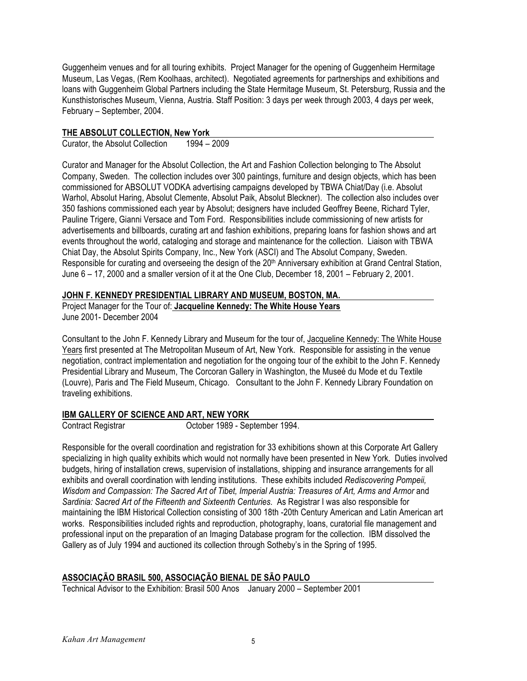Guggenheim venues and for all touring exhibits. Project Manager for the opening of Guggenheim Hermitage Museum, Las Vegas, (Rem Koolhaas, architect). Negotiated agreements for partnerships and exhibitions and loans with Guggenheim Global Partners including the State Hermitage Museum, St. Petersburg, Russia and the Kunsthistorisches Museum, Vienna, Austria. Staff Position: 3 days per week through 2003, 4 days per week, February – September, 2004.

## **THE ABSOLUT COLLECTION, New York**

Curator, the Absolut Collection 1994 – 2009

Curator and Manager for the Absolut Collection, the Art and Fashion Collection belonging to The Absolut Company, Sweden. The collection includes over 300 paintings, furniture and design objects, which has been commissioned for ABSOLUT VODKA advertising campaigns developed by TBWA Chiat/Day (i.e. Absolut Warhol, Absolut Haring, Absolut Clemente, Absolut Paik, Absolut Bleckner). The collection also includes over 350 fashions commissioned each year by Absolut; designers have included Geoffrey Beene, Richard Tyler, Pauline Trigere, Gianni Versace and Tom Ford. Responsibilities include commissioning of new artists for advertisements and billboards, curating art and fashion exhibitions, preparing loans for fashion shows and art events throughout the world, cataloging and storage and maintenance for the collection. Liaison with TBWA Chiat Day, the Absolut Spirits Company, Inc., New York (ASCI) and The Absolut Company, Sweden. Responsible for curating and overseeing the design of the 20<sup>th</sup> Anniversary exhibition at Grand Central Station, June 6 – 17, 2000 and a smaller version of it at the One Club, December 18, 2001 – February 2, 2001.

# **JOHN F. KENNEDY PRESIDENTIAL LIBRARY AND MUSEUM, BOSTON, MA.**

Project Manager for the Tour of: **Jacqueline Kennedy: The White House Years** June 2001- December 2004

Consultant to the John F. Kennedy Library and Museum for the tour of, Jacqueline Kennedy: The White House Years first presented at The Metropolitan Museum of Art, New York. Responsible for assisting in the venue negotiation, contract implementation and negotiation for the ongoing tour of the exhibit to the John F. Kennedy Presidential Library and Museum, The Corcoran Gallery in Washington, the Museé du Mode et du Textile (Louvre), Paris and The Field Museum, Chicago. Consultant to the John F. Kennedy Library Foundation on traveling exhibitions.

# **IBM GALLERY OF SCIENCE AND ART, NEW YORK**

Contract Registrar October 1989 - September 1994.

Responsible for the overall coordination and registration for 33 exhibitions shown at this Corporate Art Gallery specializing in high quality exhibits which would not normally have been presented in New York. Duties involved budgets, hiring of installation crews, supervision of installations, shipping and insurance arrangements for all exhibits and overall coordination with lending institutions. These exhibits included *Rediscovering Pompeii, Wisdom and Compassion: The Sacred Art of Tibet, Imperial Austria: Treasures of Art, Arms and Armor and Sardinia: Sacred Art of the Fifteenth and Sixteenth Centuries.* As Registrar I was also responsible for maintaining the IBM Historical Collection consisting of 300 18th -20th Century American and Latin American art works. Responsibilities included rights and reproduction, photography, loans, curatorial file management and professional input on the preparation of an Imaging Database program for the collection. IBM dissolved the Gallery as of July 1994 and auctioned its collection through Sotheby's in the Spring of 1995.

# **ASSOCIAÇÃO BRASIL 500, ASSOCIAÇÃO BIENAL DE SÃO PAULO**

Technical Advisor to the Exhibition: Brasil 500 Anos January 2000 – September 2001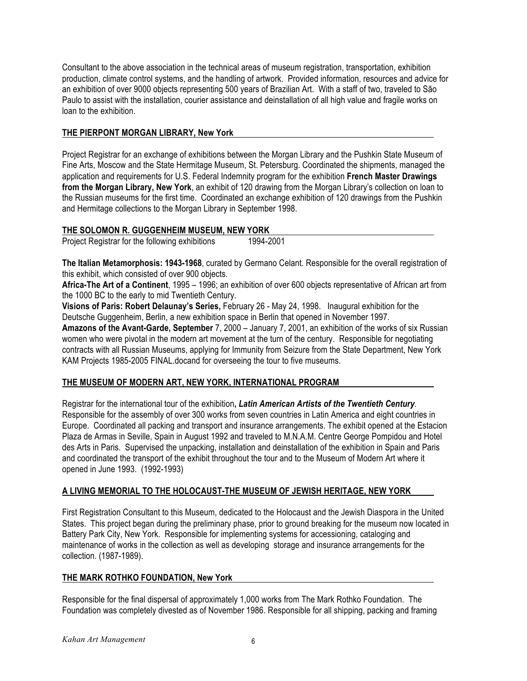Consultant to the above association in the technical areas of museum registration, transportation, exhibition production, climate control systems, and the handling of artwork. Provided information, resources and advice for an exhibition of over 9000 objects representing 500 years of Brazilian Art. With a staff of two, traveled to São Paulo to assist with the installation, courier assistance and deinstallation of all high value and fragile works on loan to the exhibition.

# **THE PIERPONT MORGAN LIBRARY, New York**

Project Registrar for an exchange of exhibitions between the Morgan Library and the Pushkin State Museum of Fine Arts, Moscow and the State Hermitage Museum, St. Petersburg. Coordinated the shipments, managed the application and requirements for U.S. Federal Indemnity program for the exhibition **French Master Drawings from the Morgan Library, New York**, an exhibit of 120 drawing from the Morgan Library's collection on loan to the Russian museums for the first time. Coordinated an exchange exhibition of 120 drawings from the Pushkin and Hermitage collections to the Morgan Library in September 1998.

# **THE SOLOMON R. GUGGENHEIM MUSEUM, NEW YORK**

Project Registrar for the following exhibitions 1994-2001

**The Italian Metamorphosis: 1943-1968**, curated by Germano Celant. Responsible for the overall registration of this exhibit, which consisted of over 900 objects.

**Africa-The Art of a Continent**, 1995 – 1996; an exhibition of over 600 objects representative of African art from the 1000 BC to the early to mid Twentieth Century.

**Visions of Paris: Robert Delaunay's Series,** February 26 - May 24, 1998. Inaugural exhibition for the Deutsche Guggenheim, Berlin, a new exhibition space in Berlin that opened in November 1997.

**Amazons of the Avant-Garde, September** 7, 2000 – January 7, 2001, an exhibition of the works of six Russian women who were pivotal in the modern art movement at the turn of the century. Responsible for negotiating contracts with all Russian Museums, applying for Immunity from Seizure from the State Department, New York KAM Projects 1985-2005 FINAL.docand for overseeing the tour to five museums.

# **THE MUSEUM OF MODERN ART, NEW YORK, INTERNATIONAL PROGRAM**

Registrar for the international tour of the exhibition**,** *Latin American Artists of the Twentieth Century.*  Responsible for the assembly of over 300 works from seven countries in Latin America and eight countries in Europe. Coordinated all packing and transport and insurance arrangements. The exhibit opened at the Estacion Plaza de Armas in Seville, Spain in August 1992 and traveled to M.N.A.M. Centre George Pompidou and Hotel des Arts in Paris. Supervised the unpacking, installation and deinstallation of the exhibition in Spain and Paris and coordinated the transport of the exhibit throughout the tour and to the Museum of Modern Art where it opened in June 1993. (1992-1993)

# **A LIVING MEMORIAL TO THE HOLOCAUST-THE MUSEUM OF JEWISH HERITAGE, NEW YORK**

First Registration Consultant to this Museum, dedicated to the Holocaust and the Jewish Diaspora in the United States. This project began during the preliminary phase, prior to ground breaking for the museum now located in Battery Park City, New York. Responsible for implementing systems for accessioning, cataloging and maintenance of works in the collection as well as developing storage and insurance arrangements for the collection. (1987-1989).

# **THE MARK ROTHKO FOUNDATION, New York**

Responsible for the final dispersal of approximately 1,000 works from The Mark Rothko Foundation. The Foundation was completely divested as of November 1986. Responsible for all shipping, packing and framing